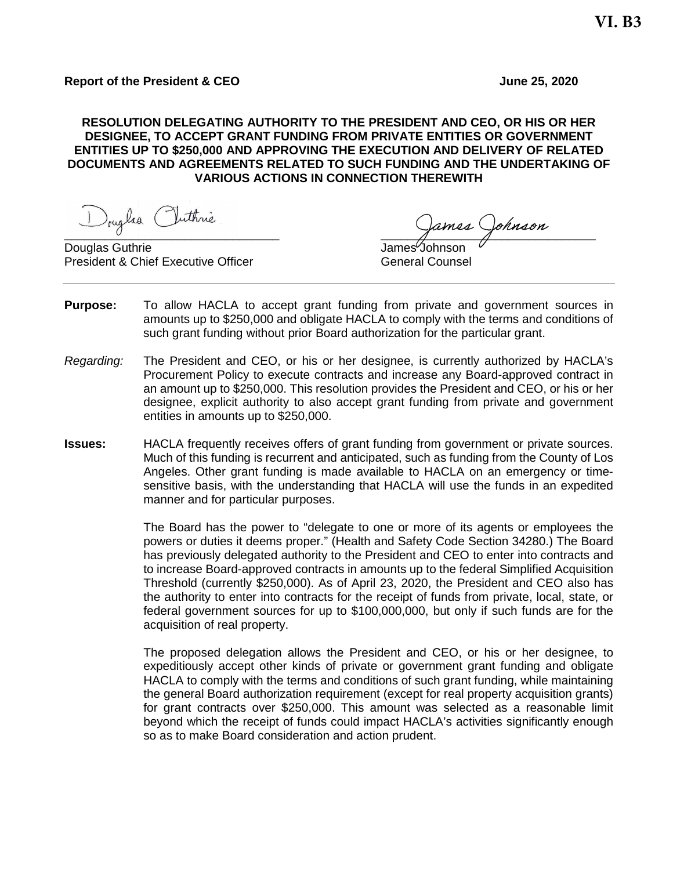## **RESOLUTION DELEGATING AUTHORITY TO THE PRESIDENT AND CEO, OR HIS OR HER DESIGNEE, TO ACCEPT GRANT FUNDING FROM PRIVATE ENTITIES OR GOVERNMENT ENTITIES UP TO \$250,000 AND APPROVING THE EXECUTION AND DELIVERY OF RELATED DOCUMENTS AND AGREEMENTS RELATED TO SUCH FUNDING AND THE UNDERTAKING OF VARIOUS ACTIONS IN CONNECTION THEREWITH**

Douglas Iuthrie

Douglas Guthrie **Contract Contract Contract Contract Contract Contract Contract Contract Contract Contract Contract Contract Contract Contract Contract Contract Contract Contract Contract Contract Contract Contract Contrac** President & Chief Executive Officer General Counsel

- **Purpose:** To allow HACLA to accept grant funding from private and government sources in amounts up to \$250,000 and obligate HACLA to comply with the terms and conditions of such grant funding without prior Board authorization for the particular grant.
- *Regarding:* The President and CEO, or his or her designee, is currently authorized by HACLA's Procurement Policy to execute contracts and increase any Board-approved contract in an amount up to \$250,000. This resolution provides the President and CEO, or his or her designee, explicit authority to also accept grant funding from private and government entities in amounts up to \$250,000.
- **Issues:** HACLA frequently receives offers of grant funding from government or private sources. Much of this funding is recurrent and anticipated, such as funding from the County of Los Angeles. Other grant funding is made available to HACLA on an emergency or timesensitive basis, with the understanding that HACLA will use the funds in an expedited manner and for particular purposes.

The Board has the power to "delegate to one or more of its agents or employees the powers or duties it deems proper." (Health and Safety Code Section 34280.) The Board has previously delegated authority to the President and CEO to enter into contracts and to increase Board-approved contracts in amounts up to the federal Simplified Acquisition Threshold (currently \$250,000). As of April 23, 2020, the President and CEO also has the authority to enter into contracts for the receipt of funds from private, local, state, or federal government sources for up to \$100,000,000, but only if such funds are for the acquisition of real property.

The proposed delegation allows the President and CEO, or his or her designee, to expeditiously accept other kinds of private or government grant funding and obligate HACLA to comply with the terms and conditions of such grant funding, while maintaining the general Board authorization requirement (except for real property acquisition grants) for grant contracts over \$250,000. This amount was selected as a reasonable limit beyond which the receipt of funds could impact HACLA's activities significantly enough so as to make Board consideration and action prudent.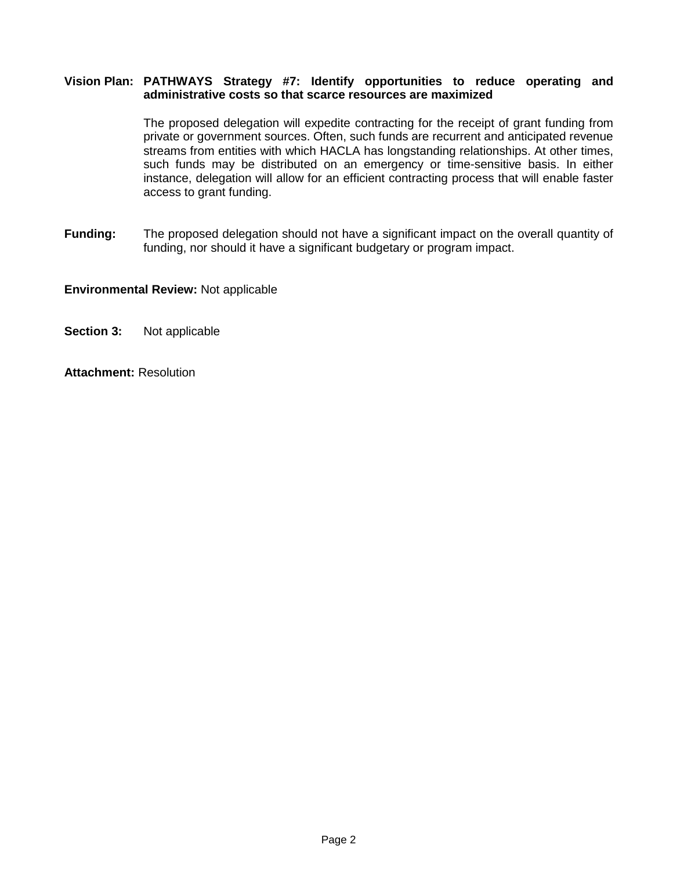## **Vision Plan: PATHWAYS Strategy #7: Identify opportunities to reduce operating and administrative costs so that scarce resources are maximized**

The proposed delegation will expedite contracting for the receipt of grant funding from private or government sources. Often, such funds are recurrent and anticipated revenue streams from entities with which HACLA has longstanding relationships. At other times, such funds may be distributed on an emergency or time-sensitive basis. In either instance, delegation will allow for an efficient contracting process that will enable faster access to grant funding.

**Funding:** The proposed delegation should not have a significant impact on the overall quantity of funding, nor should it have a significant budgetary or program impact.

## **Environmental Review:** Not applicable

**Section 3:** Not applicable

**Attachment:** Resolution